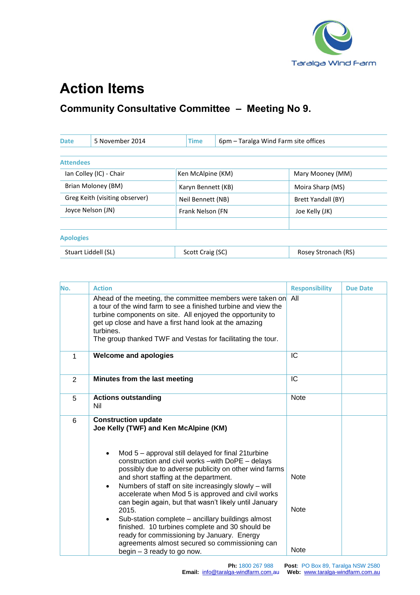

## **Action Items**

## **Community Consultative Committee – Meeting No 9.**

| <b>Date</b>             | 5 November 2014                                     |                    | <b>Time</b><br>6pm – Taralga Wind Farm site offices |                     |
|-------------------------|-----------------------------------------------------|--------------------|-----------------------------------------------------|---------------------|
|                         |                                                     |                    |                                                     |                     |
| <b>Attendees</b>        |                                                     |                    |                                                     |                     |
| Ian Colley (IC) - Chair |                                                     | Ken McAlpine (KM)  |                                                     | Mary Mooney (MM)    |
| Brian Moloney (BM)      |                                                     | Karyn Bennett (KB) |                                                     | Moira Sharp (MS)    |
|                         | Greg Keith (visiting observer)<br>Neil Bennett (NB) |                    | Brett Yandall (BY)                                  |                     |
| Joyce Nelson (JN)       |                                                     | Frank Nelson (FN   |                                                     | Joe Kelly (JK)      |
|                         |                                                     |                    |                                                     |                     |
| <b>Apologies</b>        |                                                     |                    |                                                     |                     |
|                         | Stuart Liddell (SL)                                 | Scott Craig (SC)   |                                                     | Rosey Stronach (RS) |

| No. | <b>Action</b>                                                                                                                                                                                                                                                                                                                                                                                                                                | <b>Responsibility</b>      | <b>Due Date</b> |
|-----|----------------------------------------------------------------------------------------------------------------------------------------------------------------------------------------------------------------------------------------------------------------------------------------------------------------------------------------------------------------------------------------------------------------------------------------------|----------------------------|-----------------|
|     | Ahead of the meeting, the committee members were taken on<br>a tour of the wind farm to see a finished turbine and view the<br>turbine components on site. All enjoyed the opportunity to<br>get up close and have a first hand look at the amazing<br>turbines.<br>The group thanked TWF and Vestas for facilitating the tour.                                                                                                              | All                        |                 |
| 1   | <b>Welcome and apologies</b>                                                                                                                                                                                                                                                                                                                                                                                                                 | IC                         |                 |
| 2   | Minutes from the last meeting                                                                                                                                                                                                                                                                                                                                                                                                                | IC                         |                 |
| 5   | <b>Actions outstanding</b><br>Nil                                                                                                                                                                                                                                                                                                                                                                                                            | <b>Note</b>                |                 |
| 6   | <b>Construction update</b><br>Joe Kelly (TWF) and Ken McAlpine (KM)<br>Mod 5 – approval still delayed for final 21turbine<br>$\bullet$<br>construction and civil works - with DoPE - delays                                                                                                                                                                                                                                                  |                            |                 |
|     | possibly due to adverse publicity on other wind farms<br>and short staffing at the department.<br>Numbers of staff on site increasingly slowly - will<br>٠<br>accelerate when Mod 5 is approved and civil works<br>can begin again, but that wasn't likely until January<br>2015.<br>Sub-station complete – ancillary buildings almost<br>٠<br>finished. 10 turbines complete and 30 should be<br>ready for commissioning by January. Energy | <b>Note</b><br><b>Note</b> |                 |
|     | agreements almost secured so commissioning can<br>begin $-3$ ready to go now.                                                                                                                                                                                                                                                                                                                                                                | <b>Note</b>                |                 |